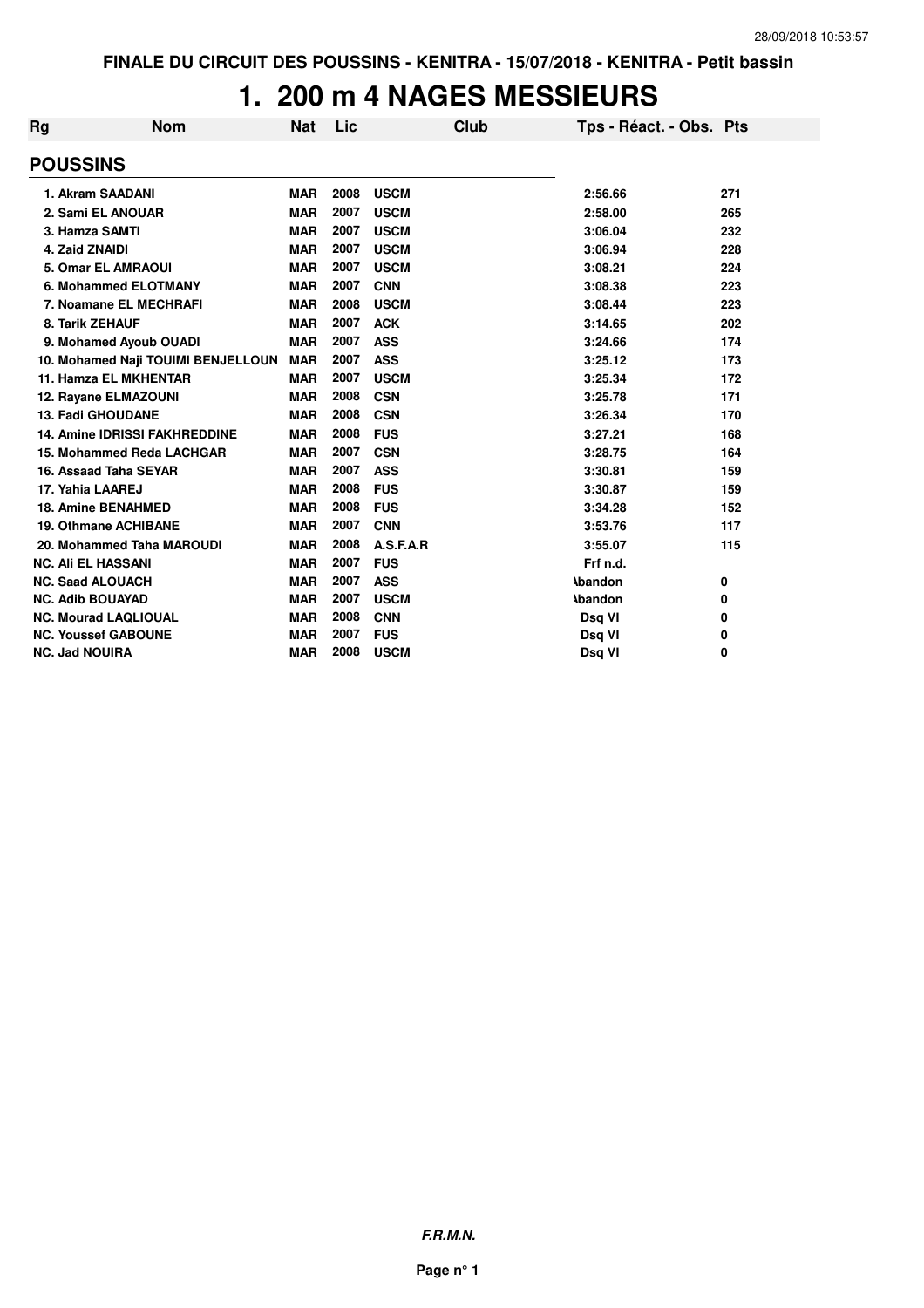### **1. 200 m 4 NAGES MESSIEURS**

| <b>Rg</b>                 | <b>Nom</b>                           | <b>Nat</b> | Lic  | Club        | Tps - Réact. - Obs. Pts |     |
|---------------------------|--------------------------------------|------------|------|-------------|-------------------------|-----|
| <b>POUSSINS</b>           |                                      |            |      |             |                         |     |
|                           | 1. Akram SAADANI                     | <b>MAR</b> | 2008 | <b>USCM</b> | 2:56.66                 | 271 |
|                           | 2. Sami EL ANOUAR                    | <b>MAR</b> | 2007 | <b>USCM</b> | 2:58.00                 | 265 |
| 3. Hamza SAMTI            |                                      | <b>MAR</b> | 2007 | <b>USCM</b> | 3:06.04                 | 232 |
| 4. Zaid ZNAIDI            |                                      | <b>MAR</b> | 2007 | <b>USCM</b> | 3:06.94                 | 228 |
|                           | 5. Omar EL AMRAOUI                   | <b>MAR</b> | 2007 | <b>USCM</b> | 3:08.21                 | 224 |
|                           | 6. Mohammed ELOTMANY                 | <b>MAR</b> | 2007 | <b>CNN</b>  | 3:08.38                 | 223 |
|                           | 7. Noamane EL MECHRAFI               | <b>MAR</b> | 2008 | <b>USCM</b> | 3:08.44                 | 223 |
| 8. Tarik ZEHAUF           |                                      | <b>MAR</b> | 2007 | <b>ACK</b>  | 3:14.65                 | 202 |
|                           | 9. Mohamed Ayoub OUADI               | <b>MAR</b> | 2007 | <b>ASS</b>  | 3:24.66                 | 174 |
|                           | 10. Mohamed Naji TOUIMI BENJELLOUN   | <b>MAR</b> | 2007 | <b>ASS</b>  | 3:25.12                 | 173 |
|                           | 11. Hamza EL MKHENTAR                | <b>MAR</b> | 2007 | <b>USCM</b> | 3:25.34                 | 172 |
|                           | 12. Rayane ELMAZOUNI                 | <b>MAR</b> | 2008 | <b>CSN</b>  | 3:25.78                 | 171 |
|                           | 13. Fadi GHOUDANE                    | <b>MAR</b> | 2008 | <b>CSN</b>  | 3:26.34                 | 170 |
|                           | <b>14. Amine IDRISSI FAKHREDDINE</b> | <b>MAR</b> | 2008 | <b>FUS</b>  | 3:27.21                 | 168 |
|                           | 15. Mohammed Reda LACHGAR            | <b>MAR</b> | 2007 | <b>CSN</b>  | 3:28.75                 | 164 |
|                           | 16. Assaad Taha SEYAR                | <b>MAR</b> | 2007 | <b>ASS</b>  | 3:30.81                 | 159 |
| 17. Yahia LAAREJ          |                                      | <b>MAR</b> | 2008 | <b>FUS</b>  | 3:30.87                 | 159 |
|                           | <b>18. Amine BENAHMED</b>            | <b>MAR</b> | 2008 | <b>FUS</b>  | 3:34.28                 | 152 |
|                           | 19. Othmane ACHIBANE                 | <b>MAR</b> | 2007 | <b>CNN</b>  | 3:53.76                 | 117 |
|                           | 20. Mohammed Taha MAROUDI            | <b>MAR</b> | 2008 | A.S.F.A.R   | 3:55.07                 | 115 |
| <b>NC. Ali EL HASSANI</b> |                                      | <b>MAR</b> | 2007 | <b>FUS</b>  | Frf n.d.                |     |
| <b>NC. Saad ALOUACH</b>   |                                      | <b>MAR</b> | 2007 | <b>ASS</b>  | <b>Abandon</b>          | 0   |
| <b>NC. Adib BOUAYAD</b>   |                                      | <b>MAR</b> | 2007 | <b>USCM</b> | <b>\bandon</b>          | 0   |
|                           | <b>NC. Mourad LAQLIOUAL</b>          | <b>MAR</b> | 2008 | <b>CNN</b>  | Dsq VI                  | 0   |
|                           | <b>NC. Youssef GABOUNE</b>           | <b>MAR</b> | 2007 | <b>FUS</b>  | Dsq VI                  | 0   |
| <b>NC. Jad NOUIRA</b>     |                                      | <b>MAR</b> | 2008 | <b>USCM</b> | Dsg VI                  | 0   |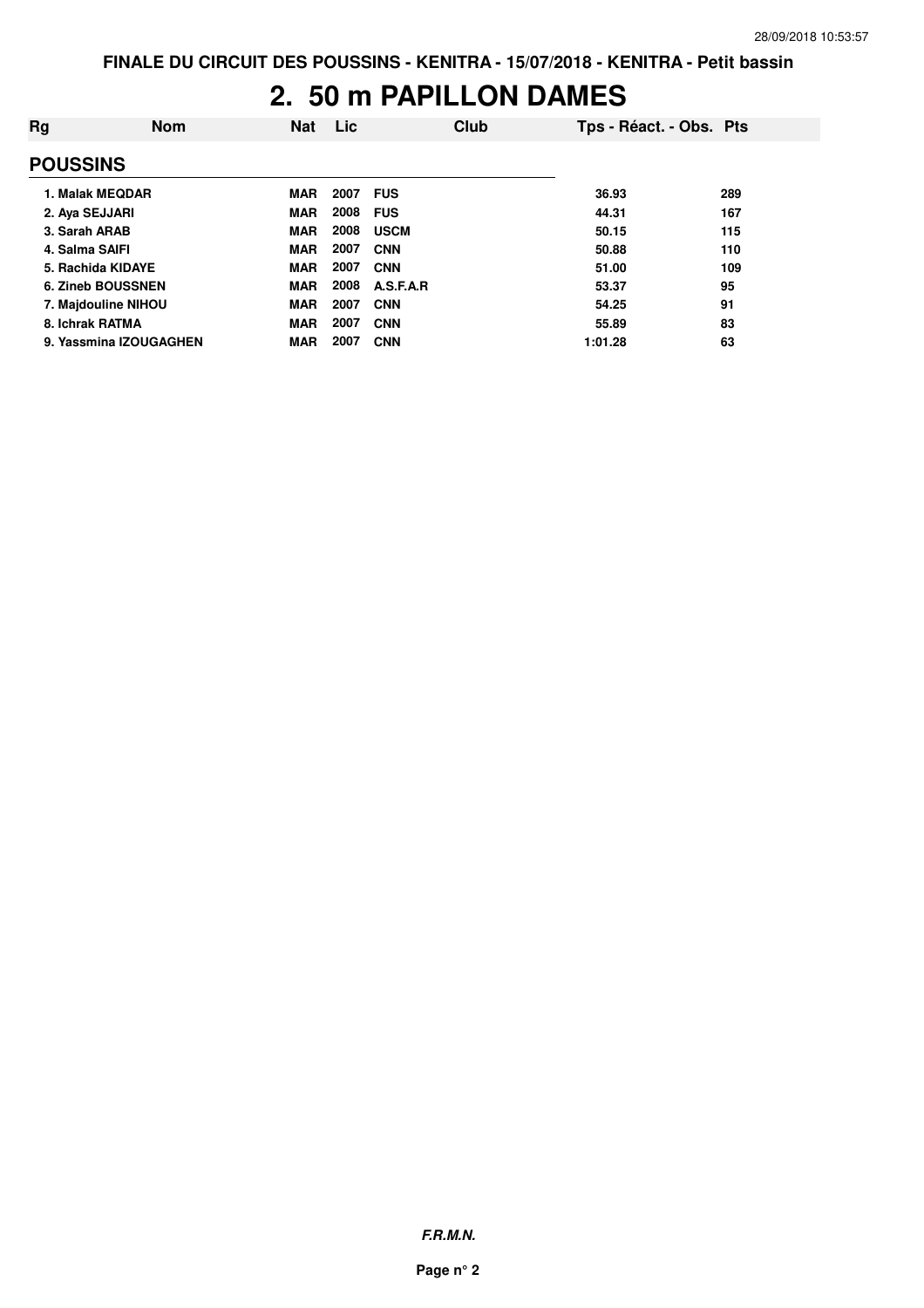#### **2. 50 m PAPILLON DAMES**

| Rg              | <b>Nom</b>               | <b>Nat</b> | Lic  | Club        | Tps - Réact. - Obs. Pts |     |
|-----------------|--------------------------|------------|------|-------------|-------------------------|-----|
| <b>POUSSINS</b> |                          |            |      |             |                         |     |
|                 | 1. Malak MEQDAR          | <b>MAR</b> | 2007 | <b>FUS</b>  | 36.93                   | 289 |
| 2. Aya SEJJARI  |                          | <b>MAR</b> | 2008 | <b>FUS</b>  | 44.31                   | 167 |
| 3. Sarah ARAB   |                          | <b>MAR</b> | 2008 | <b>USCM</b> | 50.15                   | 115 |
| 4. Salma SAIFI  |                          | <b>MAR</b> | 2007 | <b>CNN</b>  | 50.88                   | 110 |
|                 | 5. Rachida KIDAYE        | <b>MAR</b> | 2007 | <b>CNN</b>  | 51.00                   | 109 |
|                 | <b>6. Zineb BOUSSNEN</b> | <b>MAR</b> | 2008 | A.S.F.A.R   | 53.37                   | 95  |
|                 | 7. Majdouline NIHOU      | <b>MAR</b> | 2007 | <b>CNN</b>  | 54.25                   | 91  |
| 8. Ichrak RATMA |                          | <b>MAR</b> | 2007 | <b>CNN</b>  | 55.89                   | 83  |
|                 | 9. Yassmina IZOUGAGHEN   | <b>MAR</b> | 2007 | <b>CNN</b>  | 1:01.28                 | 63  |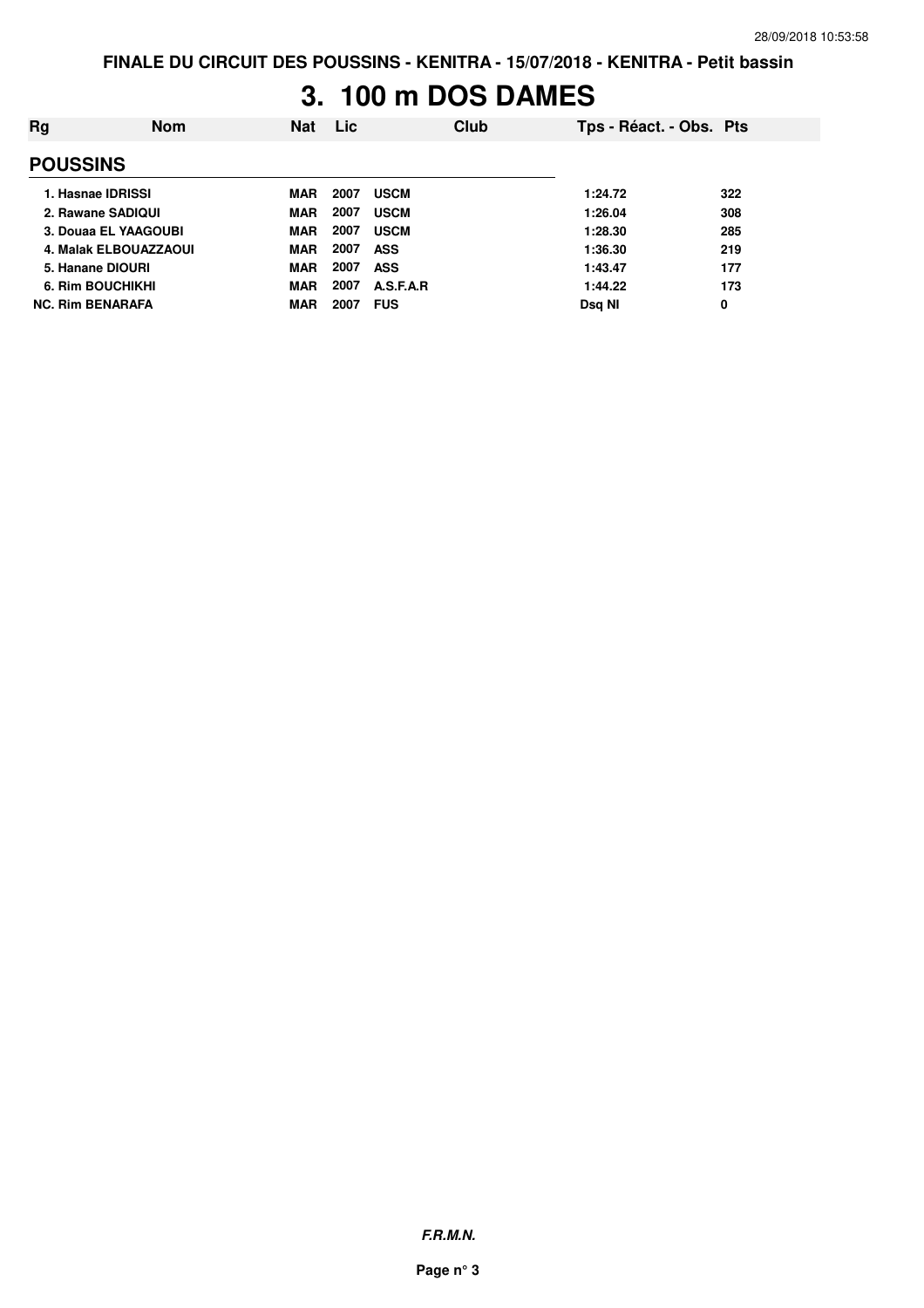## **3. 100 m DOS DAMES**

| Rg                      | Nom | <b>Nat</b> | Lic  | Club        | Tps - Réact. - Obs. Pts |     |
|-------------------------|-----|------------|------|-------------|-------------------------|-----|
| <b>POUSSINS</b>         |     |            |      |             |                         |     |
| 1. Hasnae IDRISSI       |     | MAR        | 2007 | <b>USCM</b> | 1:24.72                 | 322 |
| 2. Rawane SADIQUI       |     | <b>MAR</b> | 2007 | <b>USCM</b> | 1:26.04                 | 308 |
| 3. Douaa EL YAAGOUBI    |     | <b>MAR</b> | 2007 | <b>USCM</b> | 1:28.30                 | 285 |
| 4. Malak ELBOUAZZAOUI   |     | <b>MAR</b> | 2007 | <b>ASS</b>  | 1:36.30                 | 219 |
| 5. Hanane DIOURI        |     | <b>MAR</b> | 2007 | <b>ASS</b>  | 1:43.47                 | 177 |
| 6. Rim BOUCHIKHI        |     | <b>MAR</b> | 2007 | A.S.F.A.R   | 1:44.22                 | 173 |
| <b>NC. Rim BENARAFA</b> |     | <b>MAR</b> | 2007 | <b>FUS</b>  | Dsg NI                  | 0   |

**F.R.M.N.**

**Page n° 3**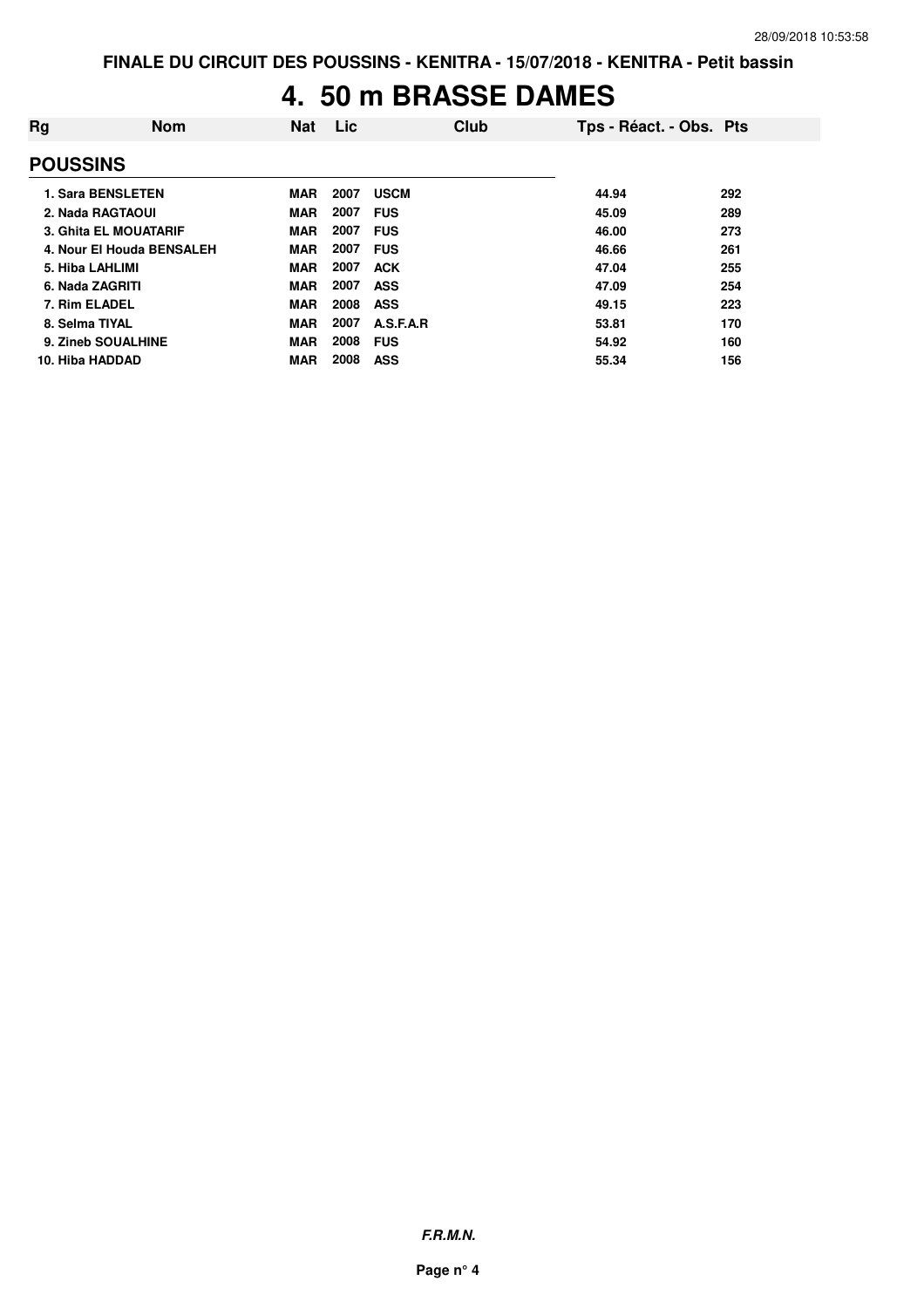# **4. 50 m BRASSE DAMES**

| Rg                       | <b>Nom</b>                   | <b>Nat</b> | Lic  | Club        | Tps - Réact. - Obs. Pts |     |
|--------------------------|------------------------------|------------|------|-------------|-------------------------|-----|
| <b>POUSSINS</b>          |                              |            |      |             |                         |     |
| <b>1. Sara BENSLETEN</b> |                              | <b>MAR</b> | 2007 | <b>USCM</b> | 44.94                   | 292 |
| 2. Nada RAGTAOUI         |                              | <b>MAR</b> | 2007 | <b>FUS</b>  | 45.09                   | 289 |
|                          | <b>3. Ghita EL MOUATARIF</b> | <b>MAR</b> | 2007 | <b>FUS</b>  | 46.00                   | 273 |
|                          | 4. Nour El Houda BENSALEH    | <b>MAR</b> | 2007 | <b>FUS</b>  | 46.66                   | 261 |
| 5. Hiba LAHLIMI          |                              | <b>MAR</b> | 2007 | <b>ACK</b>  | 47.04                   | 255 |
| 6. Nada ZAGRITI          |                              | <b>MAR</b> | 2007 | <b>ASS</b>  | 47.09                   | 254 |
| 7. Rim ELADEL            |                              | <b>MAR</b> | 2008 | <b>ASS</b>  | 49.15                   | 223 |
| 8. Selma TIYAL           |                              | <b>MAR</b> | 2007 | A.S.F.A.R   | 53.81                   | 170 |
| 9. Zineb SOUALHINE       |                              | <b>MAR</b> | 2008 | <b>FUS</b>  | 54.92                   | 160 |
| 10. Hiba HADDAD          |                              | <b>MAR</b> | 2008 | <b>ASS</b>  | 55.34                   | 156 |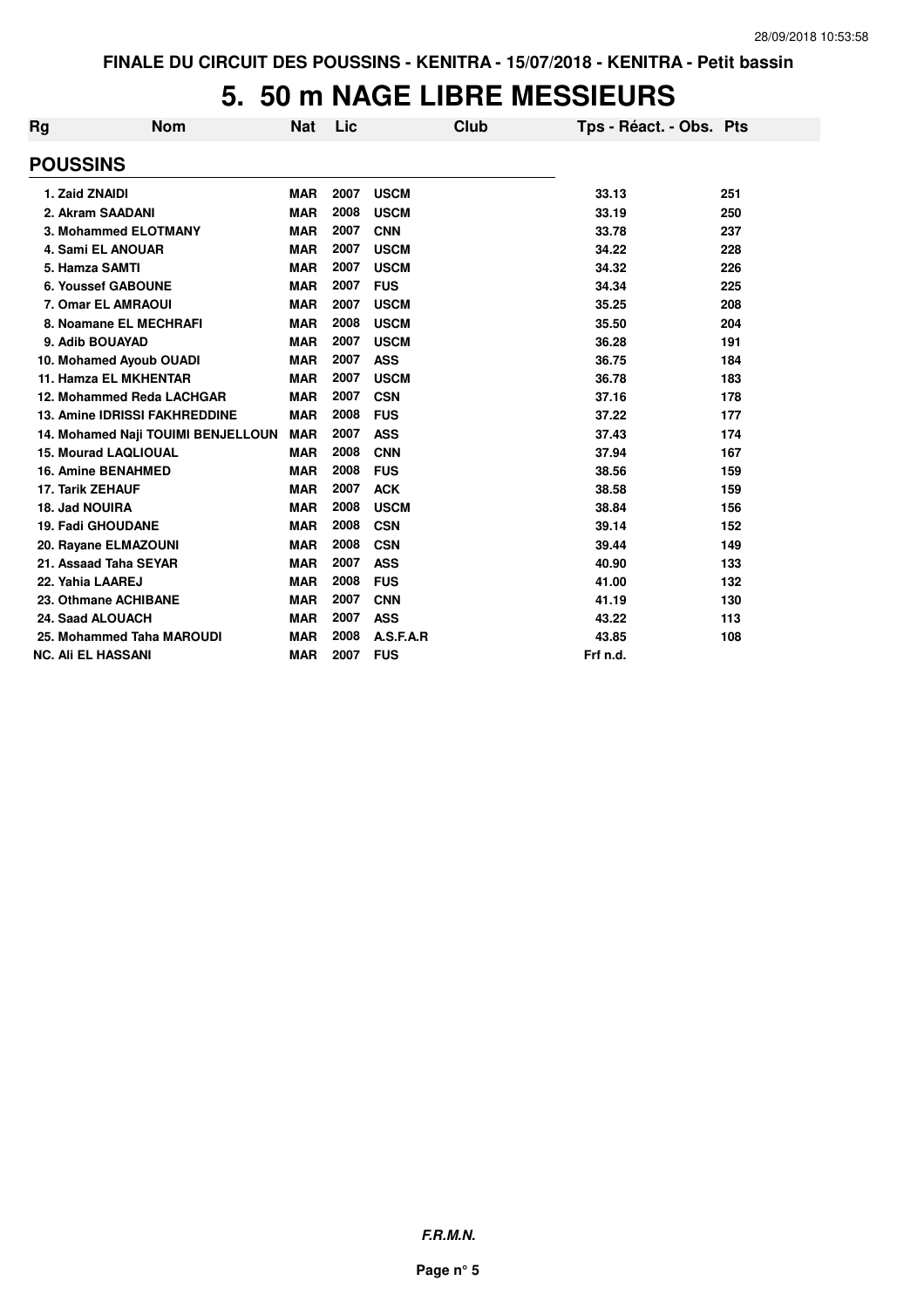# **5. 50 m NAGE LIBRE MESSIEURS**

| Rg | <b>Nom</b>                           | <b>Nat</b> | Lic  |             | Club | Tps - Réact. - Obs. Pts |     |
|----|--------------------------------------|------------|------|-------------|------|-------------------------|-----|
|    | <b>POUSSINS</b>                      |            |      |             |      |                         |     |
|    | 1. Zaid ZNAIDI                       | <b>MAR</b> | 2007 | <b>USCM</b> |      | 33.13                   | 251 |
|    | 2. Akram SAADANI                     | <b>MAR</b> | 2008 | <b>USCM</b> |      | 33.19                   | 250 |
|    | 3. Mohammed ELOTMANY                 | <b>MAR</b> | 2007 | <b>CNN</b>  |      | 33.78                   | 237 |
|    | 4. Sami EL ANOUAR                    | <b>MAR</b> | 2007 | <b>USCM</b> |      | 34.22                   | 228 |
|    | 5. Hamza SAMTI                       | <b>MAR</b> | 2007 | <b>USCM</b> |      | 34.32                   | 226 |
|    | <b>6. Youssef GABOUNE</b>            | <b>MAR</b> | 2007 | <b>FUS</b>  |      | 34.34                   | 225 |
|    | 7. Omar EL AMRAOUI                   | <b>MAR</b> | 2007 | <b>USCM</b> |      | 35.25                   | 208 |
|    | 8. Noamane EL MECHRAFI               | <b>MAR</b> | 2008 | <b>USCM</b> |      | 35.50                   | 204 |
|    | 9. Adib BOUAYAD                      | <b>MAR</b> | 2007 | <b>USCM</b> |      | 36.28                   | 191 |
|    | 10. Mohamed Ayoub OUADI              | <b>MAR</b> | 2007 | <b>ASS</b>  |      | 36.75                   | 184 |
|    | <b>11. Hamza EL MKHENTAR</b>         | <b>MAR</b> | 2007 | <b>USCM</b> |      | 36.78                   | 183 |
|    | 12. Mohammed Reda LACHGAR            | <b>MAR</b> | 2007 | <b>CSN</b>  |      | 37.16                   | 178 |
|    | <b>13. Amine IDRISSI FAKHREDDINE</b> | <b>MAR</b> | 2008 | <b>FUS</b>  |      | 37.22                   | 177 |
|    | 14. Mohamed Naji TOUIMI BENJELLOUN   | <b>MAR</b> | 2007 | <b>ASS</b>  |      | 37.43                   | 174 |
|    | <b>15. Mourad LAQLIOUAL</b>          | <b>MAR</b> | 2008 | <b>CNN</b>  |      | 37.94                   | 167 |
|    | <b>16. Amine BENAHMED</b>            | <b>MAR</b> | 2008 | <b>FUS</b>  |      | 38.56                   | 159 |
|    | <b>17. Tarik ZEHAUF</b>              | <b>MAR</b> | 2007 | <b>ACK</b>  |      | 38.58                   | 159 |
|    | 18. Jad NOUIRA                       | <b>MAR</b> | 2008 | <b>USCM</b> |      | 38.84                   | 156 |
|    | <b>19. Fadi GHOUDANE</b>             | <b>MAR</b> | 2008 | <b>CSN</b>  |      | 39.14                   | 152 |
|    | 20. Rayane ELMAZOUNI                 | <b>MAR</b> | 2008 | <b>CSN</b>  |      | 39.44                   | 149 |
|    | 21. Assaad Taha SEYAR                | <b>MAR</b> | 2007 | <b>ASS</b>  |      | 40.90                   | 133 |
|    | 22. Yahia LAAREJ                     | <b>MAR</b> | 2008 | <b>FUS</b>  |      | 41.00                   | 132 |
|    | 23. Othmane ACHIBANE                 | <b>MAR</b> | 2007 | <b>CNN</b>  |      | 41.19                   | 130 |
|    | 24. Saad ALOUACH                     | <b>MAR</b> | 2007 | <b>ASS</b>  |      | 43.22                   | 113 |
|    | 25. Mohammed Taha MAROUDI            | <b>MAR</b> | 2008 | A.S.F.A.R   |      | 43.85                   | 108 |
|    | <b>NC. Ali EL HASSANI</b>            | <b>MAR</b> | 2007 | <b>FUS</b>  |      | Frf n.d.                |     |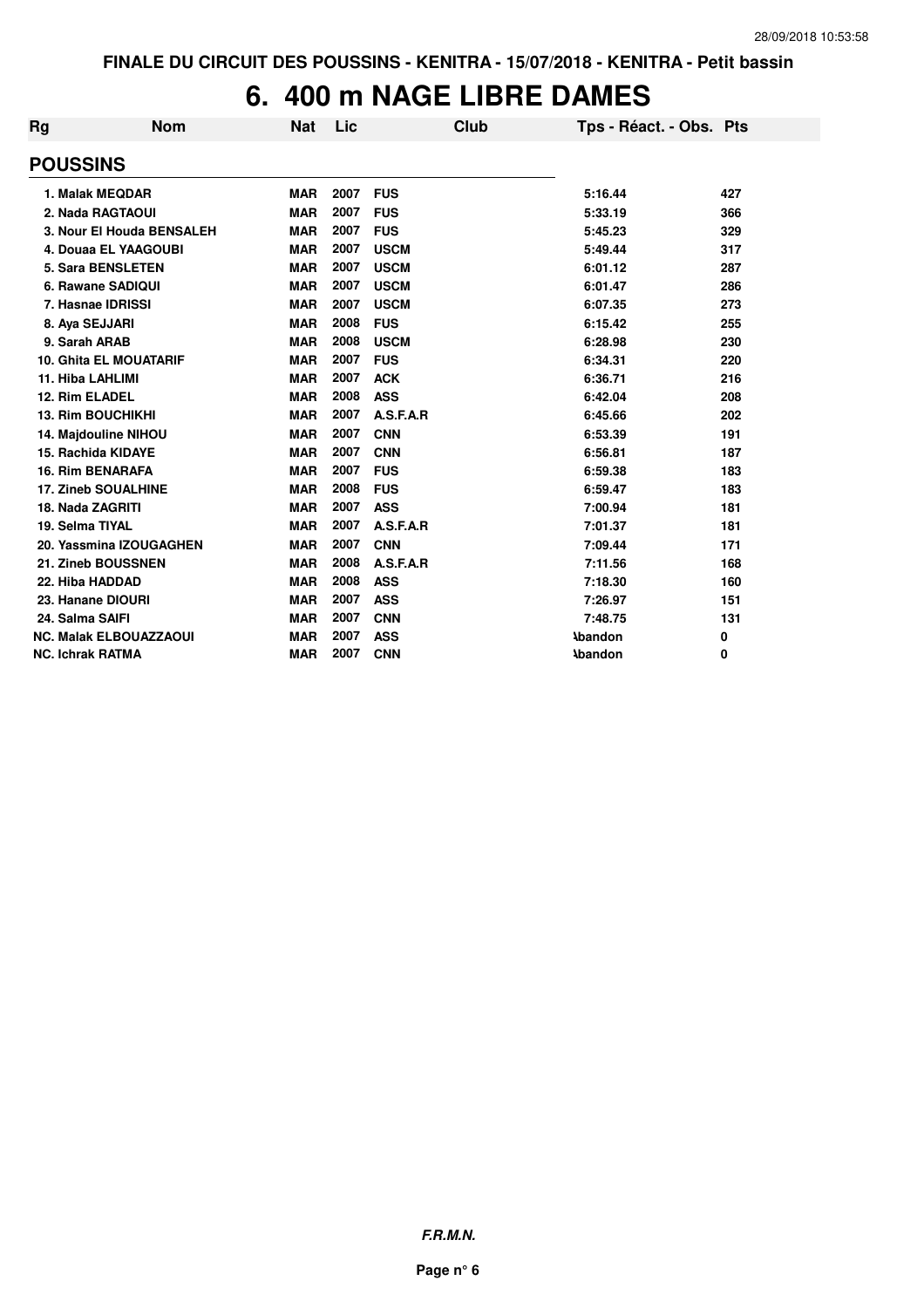# **6. 400 m NAGE LIBRE DAMES**

| Rg                      | <b>Nom</b>                    | <b>Nat</b> | Lic  | Club        | Tps - Réact. - Obs. Pts |     |
|-------------------------|-------------------------------|------------|------|-------------|-------------------------|-----|
| <b>POUSSINS</b>         |                               |            |      |             |                         |     |
|                         | 1. Malak MEQDAR               | <b>MAR</b> | 2007 | <b>FUS</b>  | 5:16.44                 | 427 |
|                         | 2. Nada RAGTAOUI              | <b>MAR</b> | 2007 | <b>FUS</b>  | 5:33.19                 | 366 |
|                         | 3. Nour El Houda BENSALEH     | <b>MAR</b> | 2007 | <b>FUS</b>  | 5:45.23                 | 329 |
|                         | 4. Douaa EL YAAGOUBI          | <b>MAR</b> | 2007 | <b>USCM</b> | 5:49.44                 | 317 |
|                         | <b>5. Sara BENSLETEN</b>      | <b>MAR</b> | 2007 | <b>USCM</b> | 6:01.12                 | 287 |
|                         | 6. Rawane SADIQUI             | <b>MAR</b> | 2007 | <b>USCM</b> | 6:01.47                 | 286 |
|                         | 7. Hasnae IDRISSI             | <b>MAR</b> | 2007 | <b>USCM</b> | 6:07.35                 | 273 |
|                         | 8. Aya SEJJARI                | <b>MAR</b> | 2008 | <b>FUS</b>  | 6:15.42                 | 255 |
| 9. Sarah ARAB           |                               | <b>MAR</b> | 2008 | <b>USCM</b> | 6:28.98                 | 230 |
|                         | <b>10. Ghita EL MOUATARIF</b> | <b>MAR</b> | 2007 | <b>FUS</b>  | 6:34.31                 | 220 |
| 11. Hiba LAHLIMI        |                               | <b>MAR</b> | 2007 | <b>ACK</b>  | 6:36.71                 | 216 |
| 12. Rim ELADEL          |                               | <b>MAR</b> | 2008 | <b>ASS</b>  | 6:42.04                 | 208 |
|                         | 13. Rim BOUCHIKHI             | <b>MAR</b> | 2007 | A.S.F.A.R   | 6:45.66                 | 202 |
|                         | 14. Majdouline NIHOU          | <b>MAR</b> | 2007 | <b>CNN</b>  | 6:53.39                 | 191 |
|                         | 15. Rachida KIDAYE            | <b>MAR</b> | 2007 | <b>CNN</b>  | 6:56.81                 | 187 |
|                         | <b>16. Rim BENARAFA</b>       | <b>MAR</b> | 2007 | <b>FUS</b>  | 6:59.38                 | 183 |
|                         | <b>17. Zineb SOUALHINE</b>    | <b>MAR</b> | 2008 | <b>FUS</b>  | 6:59.47                 | 183 |
| 18. Nada ZAGRITI        |                               | <b>MAR</b> | 2007 | <b>ASS</b>  | 7:00.94                 | 181 |
| 19. Selma TIYAL         |                               | <b>MAR</b> | 2007 | A.S.F.A.R   | 7:01.37                 | 181 |
|                         | 20. Yassmina IZOUGAGHEN       | <b>MAR</b> | 2007 | <b>CNN</b>  | 7:09.44                 | 171 |
|                         | 21. Zineb BOUSSNEN            | <b>MAR</b> | 2008 | A.S.F.A.R   | 7:11.56                 | 168 |
| 22. Hiba HADDAD         |                               | <b>MAR</b> | 2008 | <b>ASS</b>  | 7:18.30                 | 160 |
|                         | 23. Hanane DIOURI             | <b>MAR</b> | 2007 | <b>ASS</b>  | 7:26.97                 | 151 |
| 24. Salma SAIFI         |                               | <b>MAR</b> | 2007 | <b>CNN</b>  | 7:48.75                 | 131 |
|                         | <b>NC. Malak ELBOUAZZAOUI</b> | <b>MAR</b> | 2007 | <b>ASS</b>  | <b>\bandon</b>          | 0   |
| <b>NC. Ichrak RATMA</b> |                               | <b>MAR</b> | 2007 | <b>CNN</b>  | <b>\bandon</b>          | 0   |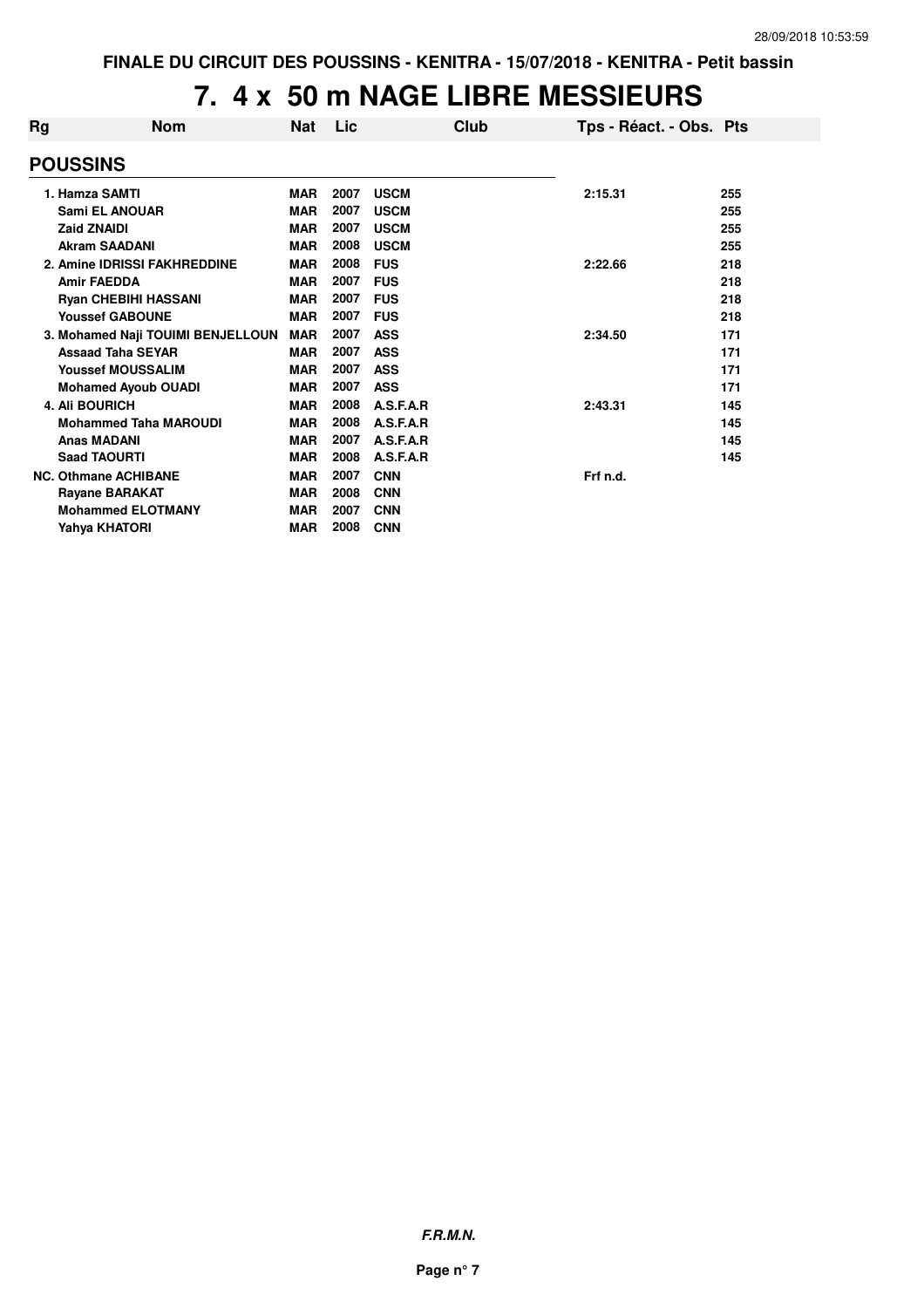# **7. 4 x 50 m NAGE LIBRE MESSIEURS**

| Rg | <b>Nom</b>                        | <b>Nat</b> | Lic. | Club        | Tps - Réact. - Obs. Pts |     |
|----|-----------------------------------|------------|------|-------------|-------------------------|-----|
|    | <b>POUSSINS</b>                   |            |      |             |                         |     |
|    | 1. Hamza SAMTI                    | <b>MAR</b> | 2007 | <b>USCM</b> | 2:15.31                 | 255 |
|    | <b>Sami EL ANOUAR</b>             | <b>MAR</b> | 2007 | <b>USCM</b> |                         | 255 |
|    | <b>Zaid ZNAIDI</b>                | <b>MAR</b> | 2007 | <b>USCM</b> |                         | 255 |
|    | <b>Akram SAADANI</b>              | <b>MAR</b> | 2008 | <b>USCM</b> |                         | 255 |
|    | 2. Amine IDRISSI FAKHREDDINE      | <b>MAR</b> | 2008 | <b>FUS</b>  | 2:22.66                 | 218 |
|    | <b>Amir FAEDDA</b>                | <b>MAR</b> | 2007 | <b>FUS</b>  |                         | 218 |
|    | <b>Ryan CHEBIHI HASSANI</b>       | <b>MAR</b> | 2007 | <b>FUS</b>  |                         | 218 |
|    | <b>Youssef GABOUNE</b>            | <b>MAR</b> | 2007 | <b>FUS</b>  |                         | 218 |
|    | 3. Mohamed Naji TOUIMI BENJELLOUN | <b>MAR</b> | 2007 | <b>ASS</b>  | 2:34.50                 | 171 |
|    | <b>Assaad Taha SEYAR</b>          | <b>MAR</b> | 2007 | <b>ASS</b>  |                         | 171 |
|    | <b>Youssef MOUSSALIM</b>          | <b>MAR</b> | 2007 | <b>ASS</b>  |                         | 171 |
|    | <b>Mohamed Ayoub OUADI</b>        | <b>MAR</b> | 2007 | <b>ASS</b>  |                         | 171 |
|    | <b>4. Ali BOURICH</b>             | <b>MAR</b> | 2008 | A.S.F.A.R   | 2:43.31                 | 145 |
|    | <b>Mohammed Taha MAROUDI</b>      | <b>MAR</b> | 2008 | A.S.F.A.R   |                         | 145 |
|    | <b>Anas MADANI</b>                | <b>MAR</b> | 2007 | A.S.F.A.R   |                         | 145 |
|    | <b>Saad TAOURTI</b>               | <b>MAR</b> | 2008 | A.S.F.A.R   |                         | 145 |
|    | <b>NC. Othmane ACHIBANE</b>       | <b>MAR</b> | 2007 | <b>CNN</b>  | Frf n.d.                |     |
|    | <b>Rayane BARAKAT</b>             | <b>MAR</b> | 2008 | <b>CNN</b>  |                         |     |
|    | <b>Mohammed ELOTMANY</b>          | <b>MAR</b> | 2007 | <b>CNN</b>  |                         |     |
|    | Yahva KHATORI                     | <b>MAR</b> | 2008 | <b>CNN</b>  |                         |     |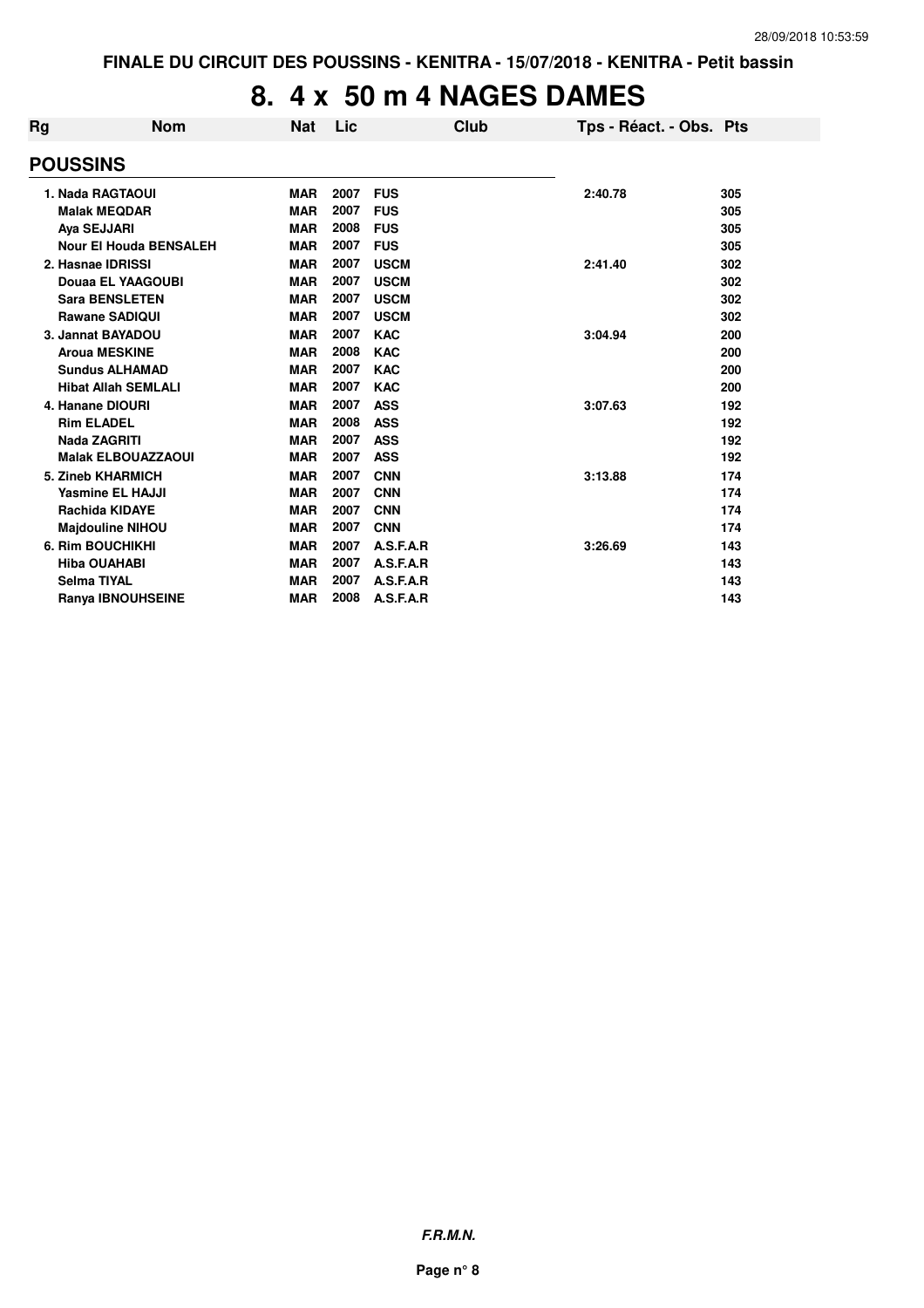#### **8. 4 x 50 m 4 NAGES DAMES**

| Rg | <b>Nom</b>                    | <b>Nat</b> | Lic  | Club        | Tps - Réact. - Obs. Pts |     |
|----|-------------------------------|------------|------|-------------|-------------------------|-----|
|    | <b>POUSSINS</b>               |            |      |             |                         |     |
|    | 1. Nada RAGTAOUI              | <b>MAR</b> | 2007 | <b>FUS</b>  | 2:40.78                 | 305 |
|    | <b>Malak MEQDAR</b>           | <b>MAR</b> | 2007 | <b>FUS</b>  |                         | 305 |
|    | Aya SEJJARI                   | <b>MAR</b> | 2008 | <b>FUS</b>  |                         | 305 |
|    | <b>Nour El Houda BENSALEH</b> | <b>MAR</b> | 2007 | <b>FUS</b>  |                         | 305 |
|    | 2. Hasnae IDRISSI             | <b>MAR</b> | 2007 | <b>USCM</b> | 2:41.40                 | 302 |
|    | Douaa EL YAAGOUBI             | <b>MAR</b> | 2007 | <b>USCM</b> |                         | 302 |
|    | <b>Sara BENSLETEN</b>         | <b>MAR</b> | 2007 | <b>USCM</b> |                         | 302 |
|    | <b>Rawane SADIQUI</b>         | <b>MAR</b> | 2007 | <b>USCM</b> |                         | 302 |
|    | 3. Jannat BAYADOU             | <b>MAR</b> | 2007 | <b>KAC</b>  | 3:04.94                 | 200 |
|    | <b>Aroua MESKINE</b>          | <b>MAR</b> | 2008 | <b>KAC</b>  |                         | 200 |
|    | <b>Sundus ALHAMAD</b>         | <b>MAR</b> | 2007 | <b>KAC</b>  |                         | 200 |
|    | <b>Hibat Allah SEMLALI</b>    | <b>MAR</b> | 2007 | <b>KAC</b>  |                         | 200 |
|    | 4. Hanane DIOURI              | <b>MAR</b> | 2007 | <b>ASS</b>  | 3:07.63                 | 192 |
|    | <b>Rim ELADEL</b>             | <b>MAR</b> | 2008 | <b>ASS</b>  |                         | 192 |
|    | <b>Nada ZAGRITI</b>           | <b>MAR</b> | 2007 | <b>ASS</b>  |                         | 192 |
|    | <b>Malak ELBOUAZZAOUI</b>     | <b>MAR</b> | 2007 | <b>ASS</b>  |                         | 192 |
|    | 5. Zineb KHARMICH             | <b>MAR</b> | 2007 | <b>CNN</b>  | 3:13.88                 | 174 |
|    | <b>Yasmine EL HAJJI</b>       | <b>MAR</b> | 2007 | <b>CNN</b>  |                         | 174 |
|    | <b>Rachida KIDAYE</b>         | <b>MAR</b> | 2007 | <b>CNN</b>  |                         | 174 |
|    | <b>Majdouline NIHOU</b>       | <b>MAR</b> | 2007 | <b>CNN</b>  |                         | 174 |
|    | <b>6. Rim BOUCHIKHI</b>       | <b>MAR</b> | 2007 | A.S.F.A.R   | 3:26.69                 | 143 |
|    | <b>Hiba OUAHABI</b>           | <b>MAR</b> | 2007 | A.S.F.A.R   |                         | 143 |
|    | <b>Selma TIYAL</b>            | <b>MAR</b> | 2007 | A.S.F.A.R   |                         | 143 |
|    | <b>Ranya IBNOUHSEINE</b>      | <b>MAR</b> | 2008 | A.S.F.A.R   |                         | 143 |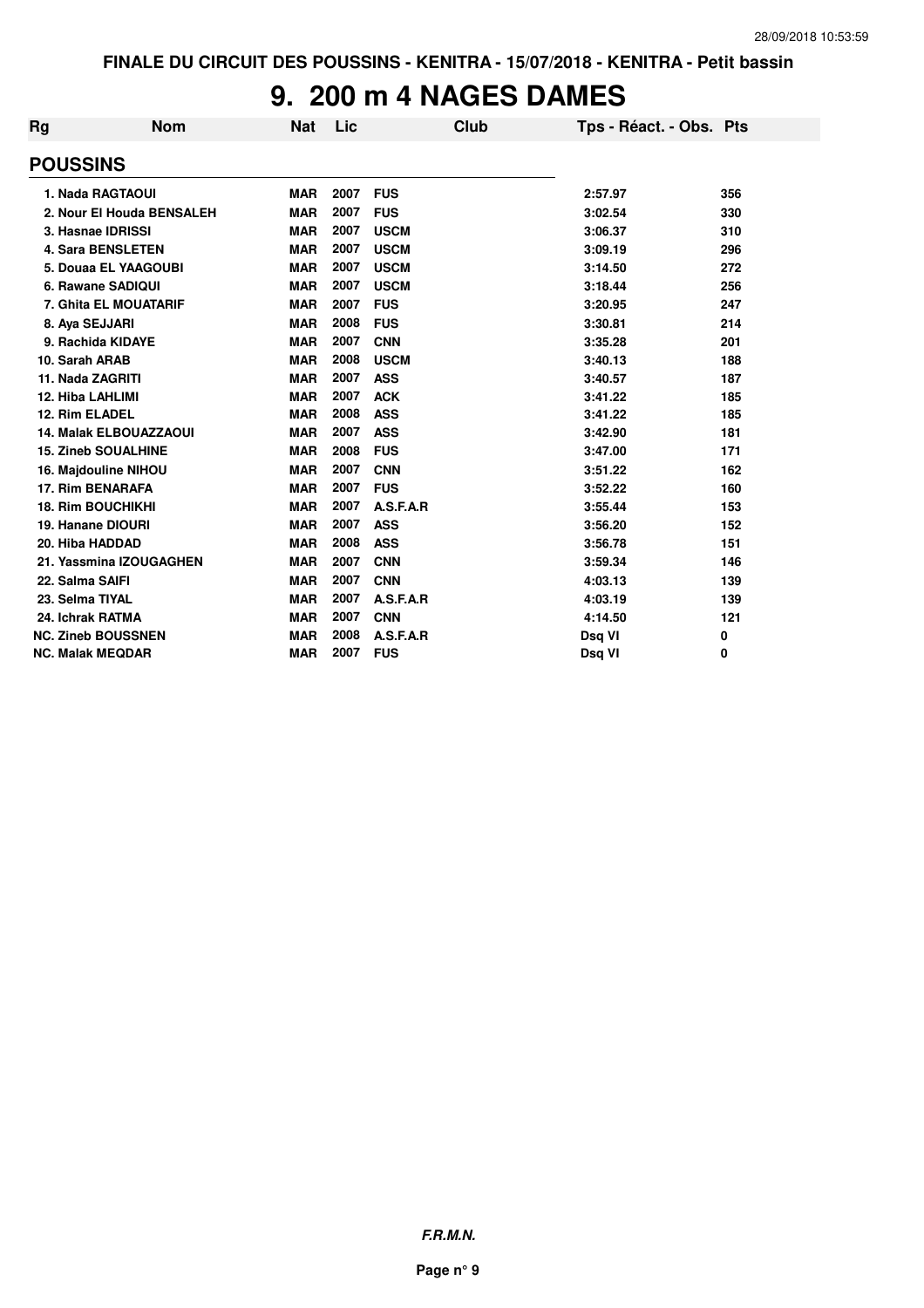#### **9. 200 m 4 NAGES DAMES**

| Rg                      | <b>Nom</b>                    | <b>Nat</b> | Lic  | <b>Club</b> | Tps - Réact. - Obs. Pts |     |
|-------------------------|-------------------------------|------------|------|-------------|-------------------------|-----|
| <b>POUSSINS</b>         |                               |            |      |             |                         |     |
|                         | 1. Nada RAGTAOUI              | <b>MAR</b> | 2007 | <b>FUS</b>  | 2:57.97                 | 356 |
|                         | 2. Nour El Houda BENSALEH     | <b>MAR</b> | 2007 | <b>FUS</b>  | 3:02.54                 | 330 |
|                         | 3. Hasnae IDRISSI             | <b>MAR</b> | 2007 | <b>USCM</b> | 3:06.37                 | 310 |
|                         | <b>4. Sara BENSLETEN</b>      | <b>MAR</b> | 2007 | <b>USCM</b> | 3:09.19                 | 296 |
|                         | 5. Douaa EL YAAGOUBI          | <b>MAR</b> | 2007 | <b>USCM</b> | 3:14.50                 | 272 |
|                         | 6. Rawane SADIQUI             | <b>MAR</b> | 2007 | <b>USCM</b> | 3:18.44                 | 256 |
|                         | 7. Ghita EL MOUATARIF         | <b>MAR</b> | 2007 | <b>FUS</b>  | 3:20.95                 | 247 |
| 8. Aya SEJJARI          |                               | <b>MAR</b> | 2008 | <b>FUS</b>  | 3:30.81                 | 214 |
|                         | 9. Rachida KIDAYE             | <b>MAR</b> | 2007 | <b>CNN</b>  | 3:35.28                 | 201 |
| 10. Sarah ARAB          |                               | <b>MAR</b> | 2008 | <b>USCM</b> | 3:40.13                 | 188 |
| 11. Nada ZAGRITI        |                               | <b>MAR</b> | 2007 | <b>ASS</b>  | 3:40.57                 | 187 |
| <b>12. Hiba LAHLIMI</b> |                               | <b>MAR</b> | 2007 | <b>ACK</b>  | 3:41.22                 | 185 |
| 12. Rim ELADEL          |                               | <b>MAR</b> | 2008 | <b>ASS</b>  | 3:41.22                 | 185 |
|                         | <b>14. Malak ELBOUAZZAOUI</b> | <b>MAR</b> | 2007 | <b>ASS</b>  | 3:42.90                 | 181 |
|                         | <b>15. Zineb SOUALHINE</b>    | <b>MAR</b> | 2008 | <b>FUS</b>  | 3:47.00                 | 171 |
|                         | 16. Majdouline NIHOU          | <b>MAR</b> | 2007 | <b>CNN</b>  | 3:51.22                 | 162 |
|                         | 17. Rim BENARAFA              | <b>MAR</b> | 2007 | <b>FUS</b>  | 3:52.22                 | 160 |
|                         | <b>18. Rim BOUCHIKHI</b>      | <b>MAR</b> | 2007 | A.S.F.A.R   | 3:55.44                 | 153 |
|                         | <b>19. Hanane DIOURI</b>      | <b>MAR</b> | 2007 | <b>ASS</b>  | 3:56.20                 | 152 |
| 20. Hiba HADDAD         |                               | <b>MAR</b> | 2008 | <b>ASS</b>  | 3:56.78                 | 151 |
|                         | 21. Yassmina IZOUGAGHEN       | <b>MAR</b> | 2007 | <b>CNN</b>  | 3:59.34                 | 146 |
| 22. Salma SAIFI         |                               | <b>MAR</b> | 2007 | <b>CNN</b>  | 4:03.13                 | 139 |
| 23. Selma TIYAL         |                               | <b>MAR</b> | 2007 | A.S.F.A.R   | 4:03.19                 | 139 |
| 24. Ichrak RATMA        |                               | <b>MAR</b> | 2007 | <b>CNN</b>  | 4:14.50                 | 121 |
|                         | <b>NC. Zineb BOUSSNEN</b>     | <b>MAR</b> | 2008 | A.S.F.A.R   | Dsq VI                  | 0   |
|                         | <b>NC. Malak MEQDAR</b>       | <b>MAR</b> | 2007 | <b>FUS</b>  | Dsg VI                  | 0   |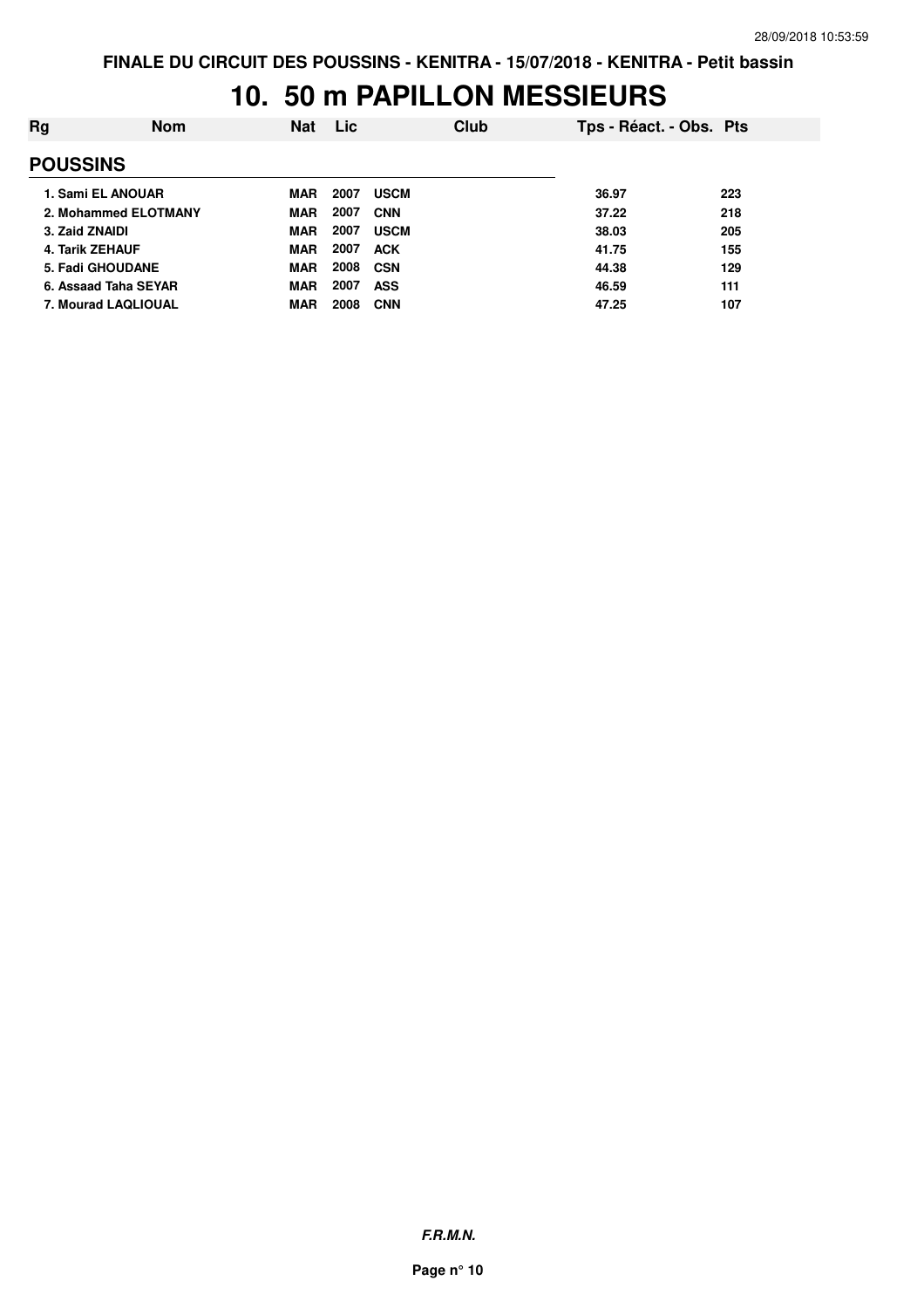# **10. 50 m PAPILLON MESSIEURS**

| <b>Nom</b>              | <b>Nat</b> | Lic  |             | Club |       |                         |
|-------------------------|------------|------|-------------|------|-------|-------------------------|
|                         |            |      |             |      |       |                         |
| 1. Sami EL ANOUAR       | <b>MAR</b> | 2007 | <b>USCM</b> |      | 36.97 | 223                     |
| 2. Mohammed ELOTMANY    | <b>MAR</b> | 2007 | <b>CNN</b>  |      | 37.22 | 218                     |
|                         | <b>MAR</b> | 2007 | <b>USCM</b> |      | 38.03 | 205                     |
|                         | <b>MAR</b> | 2007 | <b>ACK</b>  |      | 41.75 | 155                     |
| <b>5. Fadi GHOUDANE</b> | <b>MAR</b> | 2008 | <b>CSN</b>  |      | 44.38 | 129                     |
| 6. Assaad Taha SEYAR    | <b>MAR</b> | 2007 | <b>ASS</b>  |      | 46.59 | 111                     |
| 7. Mourad LAQLIOUAL     | <b>MAR</b> | 2008 | <b>CNN</b>  |      | 47.25 | 107                     |
|                         |            |      |             |      |       | Tps - Réact. - Obs. Pts |

**F.R.M.N.**

**Page n° 10**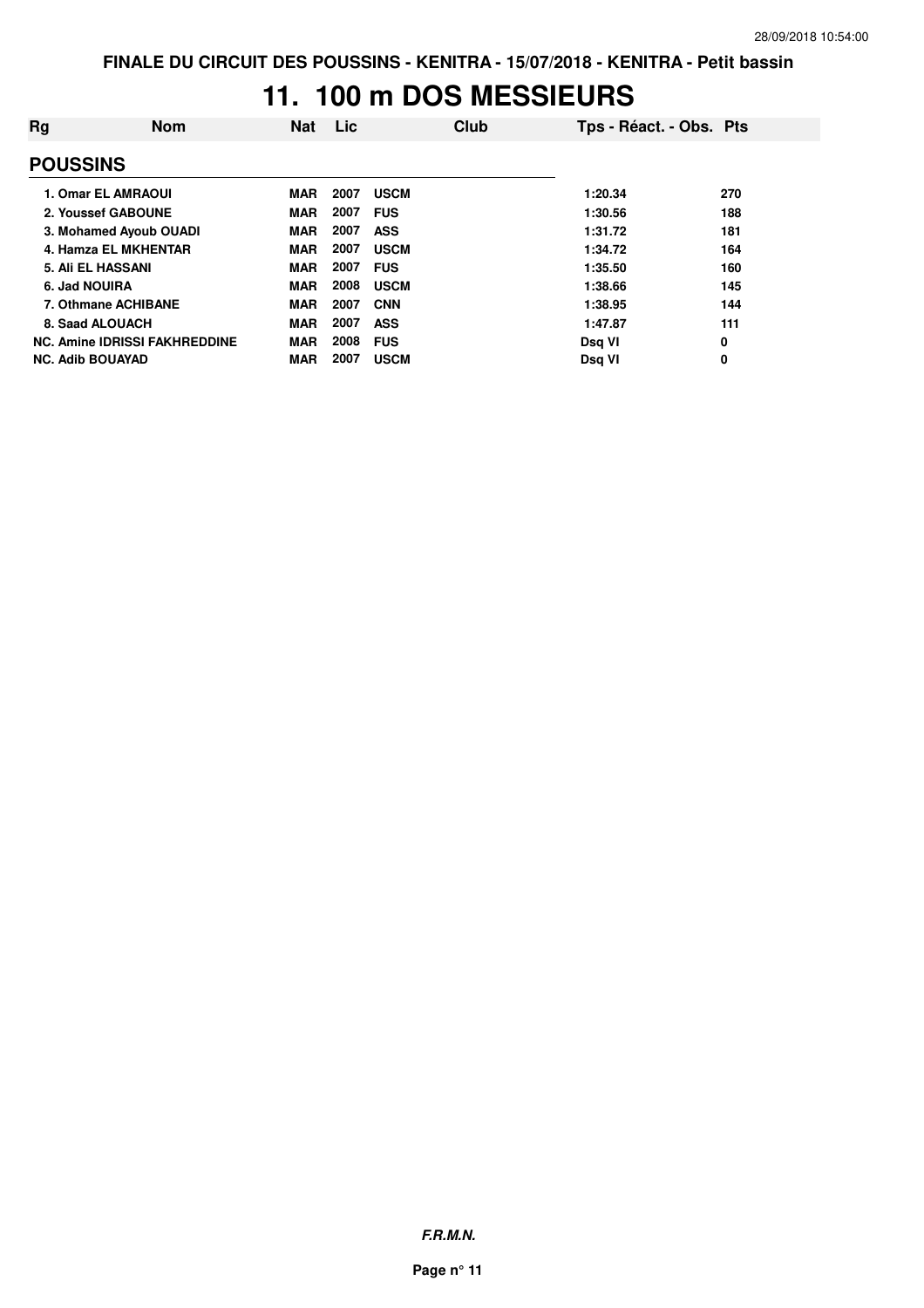# **11. 100 m DOS MESSIEURS**

| Rg | <b>Nom</b>                           | <b>Nat</b> | Lic  | Club        | Tps - Réact. - Obs. Pts |     |
|----|--------------------------------------|------------|------|-------------|-------------------------|-----|
|    | <b>POUSSINS</b>                      |            |      |             |                         |     |
|    | 1. Omar EL AMRAOUI                   | <b>MAR</b> | 2007 | <b>USCM</b> | 1:20.34                 | 270 |
|    | 2. Youssef GABOUNE                   | <b>MAR</b> | 2007 | <b>FUS</b>  | 1:30.56                 | 188 |
|    | 3. Mohamed Ayoub OUADI               | <b>MAR</b> | 2007 | <b>ASS</b>  | 1:31.72                 | 181 |
|    | 4. Hamza EL MKHENTAR                 | <b>MAR</b> | 2007 | <b>USCM</b> | 1:34.72                 | 164 |
|    | 5. Ali EL HASSANI                    | <b>MAR</b> | 2007 | <b>FUS</b>  | 1:35.50                 | 160 |
|    | 6. Jad NOUIRA                        | <b>MAR</b> | 2008 | <b>USCM</b> | 1:38.66                 | 145 |
|    | 7. Othmane ACHIBANE                  | <b>MAR</b> | 2007 | <b>CNN</b>  | 1:38.95                 | 144 |
|    | 8. Saad ALOUACH                      | <b>MAR</b> | 2007 | <b>ASS</b>  | 1:47.87                 | 111 |
|    | <b>NC. Amine IDRISSI FAKHREDDINE</b> | <b>MAR</b> | 2008 | <b>FUS</b>  | Dsg VI                  | 0   |
|    | <b>NC. Adib BOUAYAD</b>              | <b>MAR</b> | 2007 | <b>USCM</b> | Dsg VI                  | 0   |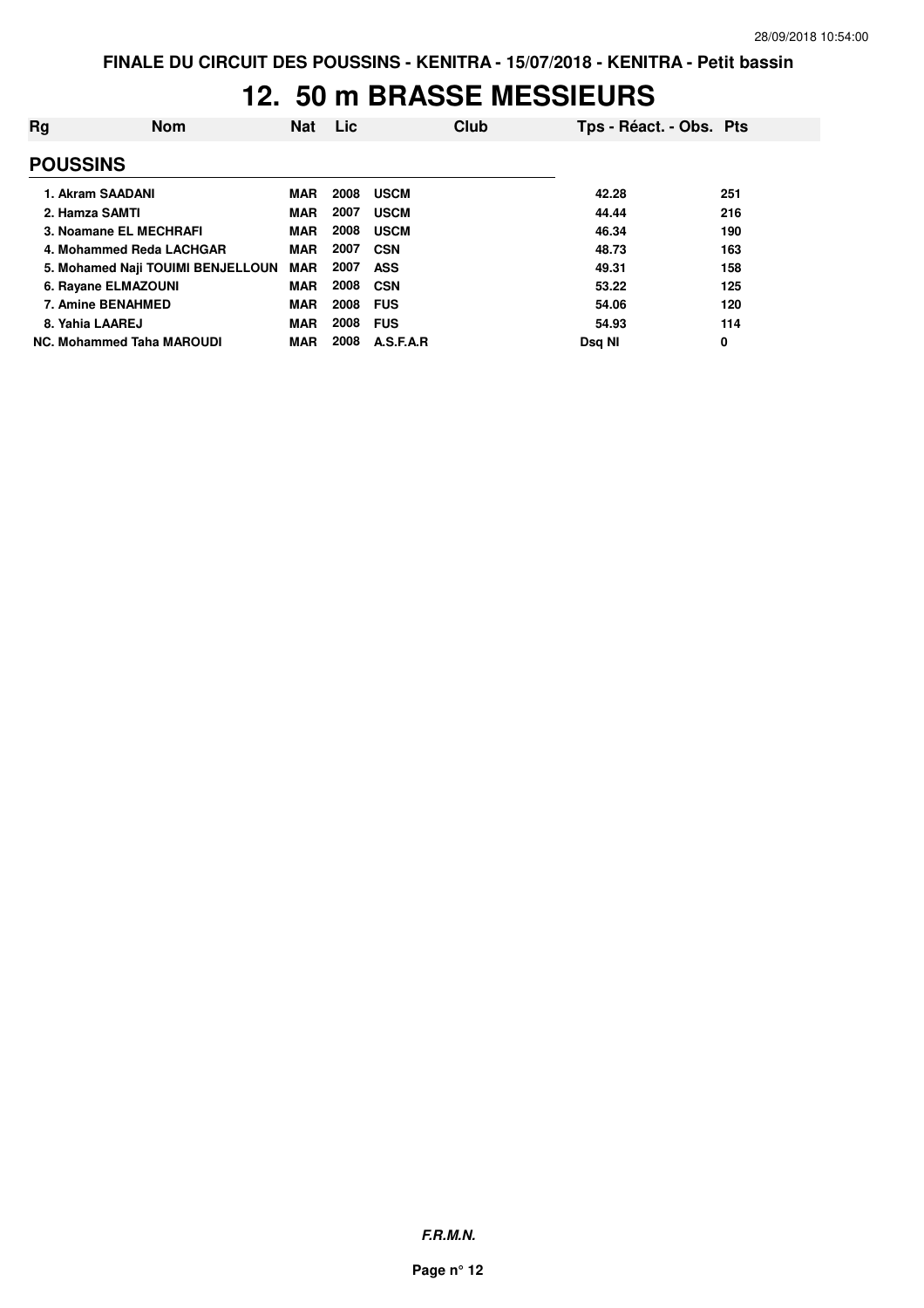### **12. 50 m BRASSE MESSIEURS**

| Rg              | Nom                               | Nat        | <b>Lic</b> |             | Club | Tps - Réact. - Obs. Pts |     |
|-----------------|-----------------------------------|------------|------------|-------------|------|-------------------------|-----|
| <b>POUSSINS</b> |                                   |            |            |             |      |                         |     |
|                 | 1. Akram SAADANI                  | <b>MAR</b> | 2008       | <b>USCM</b> |      | 42.28                   | 251 |
|                 | 2. Hamza SAMTI                    | <b>MAR</b> | 2007       | <b>USCM</b> |      | 44.44                   | 216 |
|                 | 3. Noamane EL MECHRAFI            | <b>MAR</b> | 2008       | <b>USCM</b> |      | 46.34                   | 190 |
|                 | 4. Mohammed Reda LACHGAR          | <b>MAR</b> | 2007       | <b>CSN</b>  |      | 48.73                   | 163 |
|                 | 5. Mohamed Naji TOUIMI BENJELLOUN | <b>MAR</b> | 2007       | <b>ASS</b>  |      | 49.31                   | 158 |
|                 | 6. Rayane ELMAZOUNI               | <b>MAR</b> | 2008       | <b>CSN</b>  |      | 53.22                   | 125 |
|                 | 7. Amine BENAHMED                 | <b>MAR</b> | 2008       | <b>FUS</b>  |      | 54.06                   | 120 |
|                 | 8. Yahia LAAREJ                   | <b>MAR</b> | 2008       | <b>FUS</b>  |      | 54.93                   | 114 |
|                 | NC. Mohammed Taha MAROUDI         | <b>MAR</b> | 2008       | A.S.F.A.R   |      | Dsa NI                  | 0   |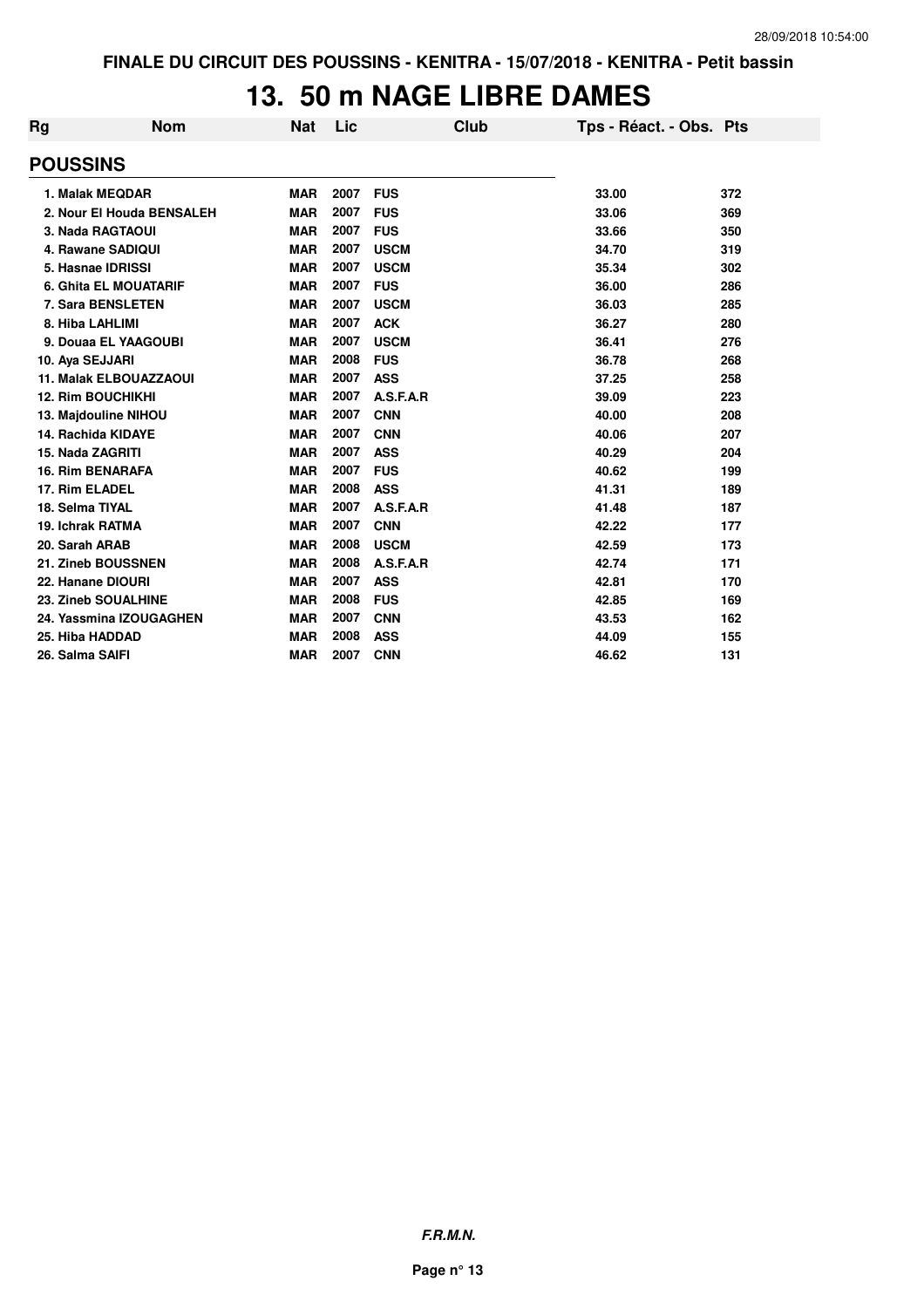# **13. 50 m NAGE LIBRE DAMES**

| Rg               | <b>Nom</b>                    | <b>Nat</b> | Lic  | Club        | Tps - Réact. - Obs. Pts |     |
|------------------|-------------------------------|------------|------|-------------|-------------------------|-----|
| <b>POUSSINS</b>  |                               |            |      |             |                         |     |
|                  | 1. Malak MEQDAR               | <b>MAR</b> | 2007 | <b>FUS</b>  | 33.00                   | 372 |
|                  | 2. Nour El Houda BENSALEH     | <b>MAR</b> | 2007 | <b>FUS</b>  | 33.06                   | 369 |
|                  | 3. Nada RAGTAOUI              | <b>MAR</b> | 2007 | <b>FUS</b>  | 33.66                   | 350 |
|                  | 4. Rawane SADIQUI             | <b>MAR</b> | 2007 | <b>USCM</b> | 34.70                   | 319 |
|                  | 5. Hasnae IDRISSI             | <b>MAR</b> | 2007 | <b>USCM</b> | 35.34                   | 302 |
|                  | <b>6. Ghita EL MOUATARIF</b>  | <b>MAR</b> | 2007 | <b>FUS</b>  | 36.00                   | 286 |
|                  | 7. Sara BENSLETEN             | <b>MAR</b> | 2007 | <b>USCM</b> | 36.03                   | 285 |
|                  | 8. Hiba LAHLIMI               | <b>MAR</b> | 2007 | <b>ACK</b>  | 36.27                   | 280 |
|                  | 9. Douaa EL YAAGOUBI          | <b>MAR</b> | 2007 | <b>USCM</b> | 36.41                   | 276 |
| 10. Aya SEJJARI  |                               | <b>MAR</b> | 2008 | <b>FUS</b>  | 36.78                   | 268 |
|                  | <b>11. Malak ELBOUAZZAOUI</b> | <b>MAR</b> | 2007 | <b>ASS</b>  | 37.25                   | 258 |
|                  | <b>12. Rim BOUCHIKHI</b>      | <b>MAR</b> | 2007 | A.S.F.A.R   | 39.09                   | 223 |
|                  | 13. Majdouline NIHOU          | <b>MAR</b> | 2007 | <b>CNN</b>  | 40.00                   | 208 |
|                  | 14. Rachida KIDAYE            | <b>MAR</b> | 2007 | <b>CNN</b>  | 40.06                   | 207 |
| 15. Nada ZAGRITI |                               | <b>MAR</b> | 2007 | <b>ASS</b>  | 40.29                   | 204 |
|                  | <b>16. Rim BENARAFA</b>       | <b>MAR</b> | 2007 | <b>FUS</b>  | 40.62                   | 199 |
| 17. Rim ELADEL   |                               | <b>MAR</b> | 2008 | <b>ASS</b>  | 41.31                   | 189 |
| 18. Selma TIYAL  |                               | <b>MAR</b> | 2007 | A.S.F.A.R   | 41.48                   | 187 |
|                  | 19. Ichrak RATMA              | <b>MAR</b> | 2007 | <b>CNN</b>  | 42.22                   | 177 |
| 20. Sarah ARAB   |                               | <b>MAR</b> | 2008 | <b>USCM</b> | 42.59                   | 173 |
|                  | 21. Zineb BOUSSNEN            | <b>MAR</b> | 2008 | A.S.F.A.R   | 42.74                   | 171 |
|                  | 22. Hanane DIOURI             | <b>MAR</b> | 2007 | <b>ASS</b>  | 42.81                   | 170 |
|                  | 23. Zineb SOUALHINE           | <b>MAR</b> | 2008 | <b>FUS</b>  | 42.85                   | 169 |
|                  | 24. Yassmina IZOUGAGHEN       | <b>MAR</b> | 2007 | <b>CNN</b>  | 43.53                   | 162 |
| 25. Hiba HADDAD  |                               | <b>MAR</b> | 2008 | <b>ASS</b>  | 44.09                   | 155 |
| 26. Salma SAIFI  |                               | <b>MAR</b> | 2007 | <b>CNN</b>  | 46.62                   | 131 |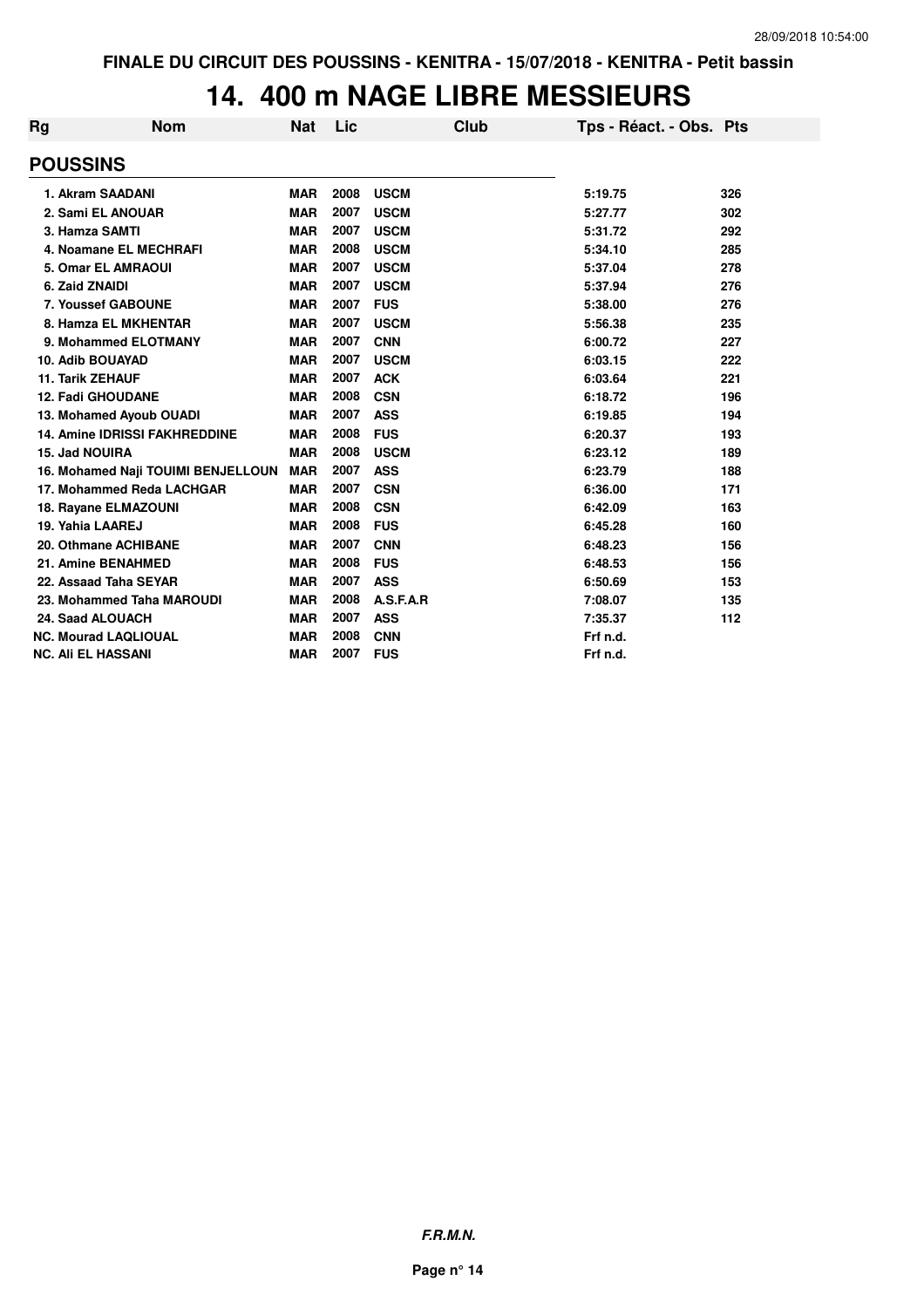# **14. 400 m NAGE LIBRE MESSIEURS**

| Rg                        | <b>Nom</b>                           | <b>Nat</b> | Lic  | Club        | Tps - Réact. - Obs. Pts |     |
|---------------------------|--------------------------------------|------------|------|-------------|-------------------------|-----|
|                           | <b>POUSSINS</b>                      |            |      |             |                         |     |
|                           | 1. Akram SAADANI                     | <b>MAR</b> | 2008 | <b>USCM</b> | 5:19.75                 | 326 |
|                           | 2. Sami EL ANOUAR                    | <b>MAR</b> | 2007 | <b>USCM</b> | 5:27.77                 | 302 |
|                           | 3. Hamza SAMTI                       | <b>MAR</b> | 2007 | <b>USCM</b> | 5:31.72                 | 292 |
|                           | 4. Noamane EL MECHRAFI               | <b>MAR</b> | 2008 | <b>USCM</b> | 5:34.10                 | 285 |
|                           | <b>5. Omar EL AMRAOUI</b>            | <b>MAR</b> | 2007 | <b>USCM</b> | 5:37.04                 | 278 |
|                           | 6. Zaid ZNAIDI                       | <b>MAR</b> | 2007 | <b>USCM</b> | 5:37.94                 | 276 |
|                           | 7. Youssef GABOUNE                   | <b>MAR</b> | 2007 | <b>FUS</b>  | 5:38.00                 | 276 |
|                           | 8. Hamza EL MKHENTAR                 | <b>MAR</b> | 2007 | <b>USCM</b> | 5:56.38                 | 235 |
|                           | 9. Mohammed ELOTMANY                 | <b>MAR</b> | 2007 | <b>CNN</b>  | 6:00.72                 | 227 |
|                           | <b>10. Adib BOUAYAD</b>              | <b>MAR</b> | 2007 | <b>USCM</b> | 6:03.15                 | 222 |
|                           | <b>11. Tarik ZEHAUF</b>              | <b>MAR</b> | 2007 | <b>ACK</b>  | 6:03.64                 | 221 |
|                           | <b>12. Fadi GHOUDANE</b>             | <b>MAR</b> | 2008 | <b>CSN</b>  | 6:18.72                 | 196 |
|                           | 13. Mohamed Ayoub OUADI              | <b>MAR</b> | 2007 | <b>ASS</b>  | 6:19.85                 | 194 |
|                           | <b>14. Amine IDRISSI FAKHREDDINE</b> | <b>MAR</b> | 2008 | <b>FUS</b>  | 6:20.37                 | 193 |
|                           | 15. Jad NOUIRA                       | <b>MAR</b> | 2008 | <b>USCM</b> | 6:23.12                 | 189 |
|                           | 16. Mohamed Naji TOUIMI BENJELLOUN   | <b>MAR</b> | 2007 | <b>ASS</b>  | 6:23.79                 | 188 |
|                           | 17. Mohammed Reda LACHGAR            | <b>MAR</b> | 2007 | <b>CSN</b>  | 6:36.00                 | 171 |
|                           | 18. Rayane ELMAZOUNI                 | <b>MAR</b> | 2008 | <b>CSN</b>  | 6:42.09                 | 163 |
|                           | 19. Yahia LAAREJ                     | <b>MAR</b> | 2008 | <b>FUS</b>  | 6:45.28                 | 160 |
|                           | 20. Othmane ACHIBANE                 | <b>MAR</b> | 2007 | <b>CNN</b>  | 6:48.23                 | 156 |
|                           | 21. Amine BENAHMED                   | <b>MAR</b> | 2008 | <b>FUS</b>  | 6:48.53                 | 156 |
|                           | 22. Assaad Taha SEYAR                | <b>MAR</b> | 2007 | <b>ASS</b>  | 6:50.69                 | 153 |
|                           | 23. Mohammed Taha MAROUDI            | <b>MAR</b> | 2008 | A.S.F.A.R   | 7:08.07                 | 135 |
|                           | 24. Saad ALOUACH                     | <b>MAR</b> | 2007 | <b>ASS</b>  | 7:35.37                 | 112 |
|                           | <b>NC. Mourad LAQLIOUAL</b>          | <b>MAR</b> | 2008 | <b>CNN</b>  | Frf n.d.                |     |
| <b>NC. Ali EL HASSANI</b> |                                      | <b>MAR</b> | 2007 | <b>FUS</b>  | Frf n.d.                |     |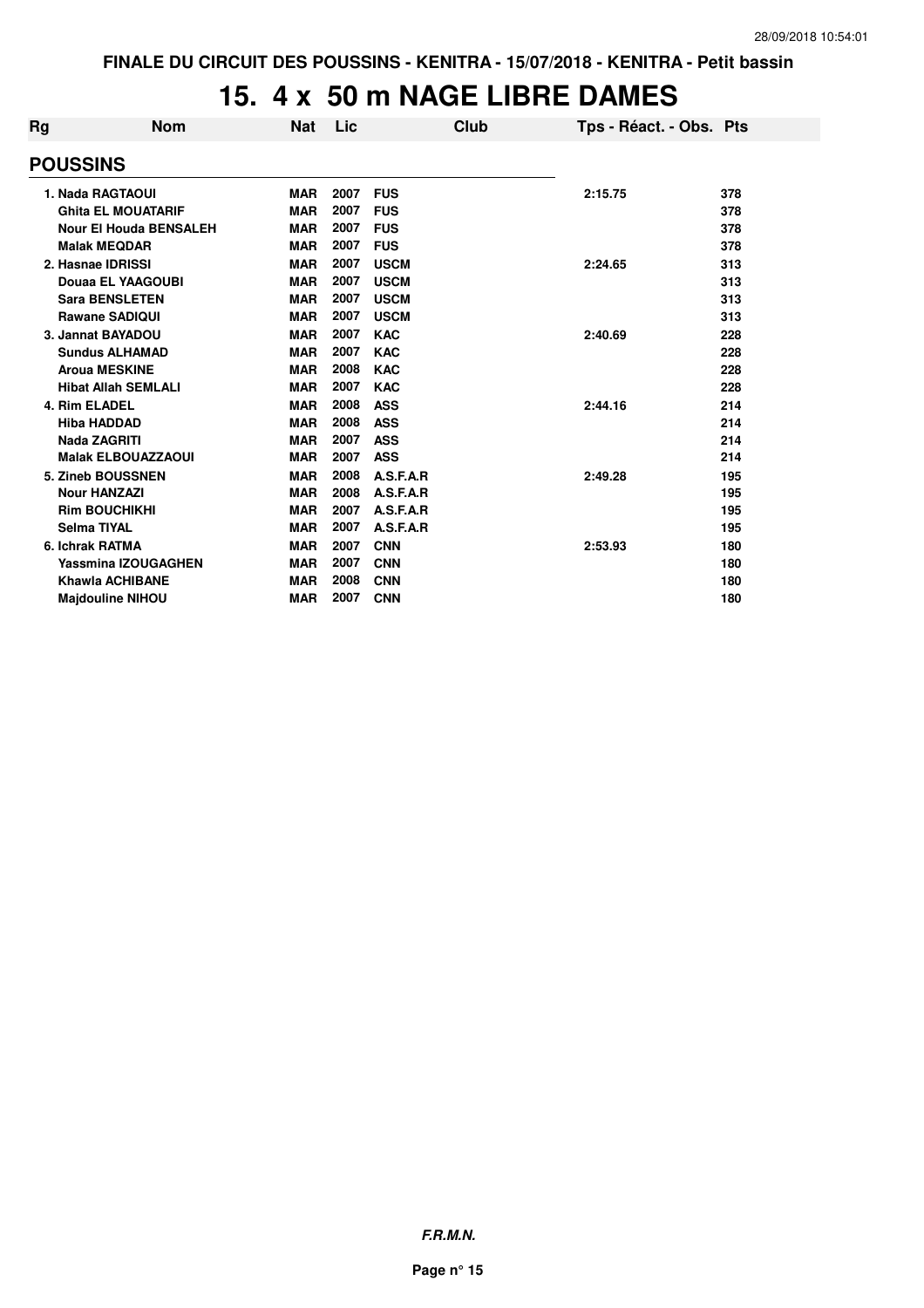# **15. 4 x 50 m NAGE LIBRE DAMES**

| Rg              | <b>Nom</b>                    | <b>Nat</b> | Lic  |             | Club | Tps - Réact. - Obs. Pts |     |  |
|-----------------|-------------------------------|------------|------|-------------|------|-------------------------|-----|--|
| <b>POUSSINS</b> |                               |            |      |             |      |                         |     |  |
|                 | 1. Nada RAGTAOUI              | <b>MAR</b> | 2007 | <b>FUS</b>  |      | 2:15.75                 | 378 |  |
|                 | <b>Ghita EL MOUATARIF</b>     | <b>MAR</b> | 2007 | <b>FUS</b>  |      |                         | 378 |  |
|                 | <b>Nour El Houda BENSALEH</b> | <b>MAR</b> | 2007 | <b>FUS</b>  |      |                         | 378 |  |
|                 | <b>Malak MEQDAR</b>           | <b>MAR</b> | 2007 | <b>FUS</b>  |      |                         | 378 |  |
|                 | 2. Hasnae IDRISSI             | <b>MAR</b> | 2007 | <b>USCM</b> |      | 2:24.65                 | 313 |  |
|                 | Douaa EL YAAGOUBI             | <b>MAR</b> | 2007 | <b>USCM</b> |      |                         | 313 |  |
|                 | <b>Sara BENSLETEN</b>         | <b>MAR</b> | 2007 | <b>USCM</b> |      |                         | 313 |  |
|                 | <b>Rawane SADIQUI</b>         | <b>MAR</b> | 2007 | <b>USCM</b> |      |                         | 313 |  |
|                 | 3. Jannat BAYADOU             | <b>MAR</b> | 2007 | <b>KAC</b>  |      | 2:40.69                 | 228 |  |
|                 | <b>Sundus ALHAMAD</b>         | <b>MAR</b> | 2007 | <b>KAC</b>  |      |                         | 228 |  |
|                 | <b>Aroua MESKINE</b>          | <b>MAR</b> | 2008 | <b>KAC</b>  |      |                         | 228 |  |
|                 | <b>Hibat Allah SEMLALI</b>    | <b>MAR</b> | 2007 | <b>KAC</b>  |      |                         | 228 |  |
|                 | 4. Rim ELADEL                 | <b>MAR</b> | 2008 | <b>ASS</b>  |      | 2:44.16                 | 214 |  |
|                 | <b>Hiba HADDAD</b>            | <b>MAR</b> | 2008 | <b>ASS</b>  |      |                         | 214 |  |
|                 | Nada ZAGRITI                  | <b>MAR</b> | 2007 | <b>ASS</b>  |      |                         | 214 |  |
|                 | <b>Malak ELBOUAZZAOUI</b>     | <b>MAR</b> | 2007 | <b>ASS</b>  |      |                         | 214 |  |
|                 | 5. Zineb BOUSSNEN             | <b>MAR</b> | 2008 | A.S.F.A.R   |      | 2:49.28                 | 195 |  |
|                 | <b>Nour HANZAZI</b>           | <b>MAR</b> | 2008 | A.S.F.A.R   |      |                         | 195 |  |
|                 | <b>Rim BOUCHIKHI</b>          | <b>MAR</b> | 2007 | A.S.F.A.R   |      |                         | 195 |  |
|                 | <b>Selma TIYAL</b>            | <b>MAR</b> | 2007 | A.S.F.A.R   |      |                         | 195 |  |
|                 | 6. Ichrak RATMA               | <b>MAR</b> | 2007 | <b>CNN</b>  |      | 2:53.93                 | 180 |  |
|                 | <b>Yassmina IZOUGAGHEN</b>    | <b>MAR</b> | 2007 | <b>CNN</b>  |      |                         | 180 |  |
|                 | <b>Khawla ACHIBANE</b>        | <b>MAR</b> | 2008 | <b>CNN</b>  |      |                         | 180 |  |
|                 | <b>Majdouline NIHOU</b>       | <b>MAR</b> | 2007 | <b>CNN</b>  |      |                         | 180 |  |

**F.R.M.N.**

**Page n° 15**